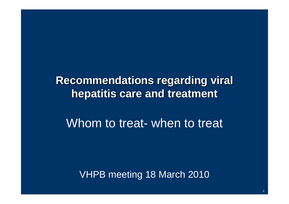#### **Recommendations regarding viral hepatitis care and treatment**

#### Whom to treat- when to treat

VHPB meeting 18 March 2010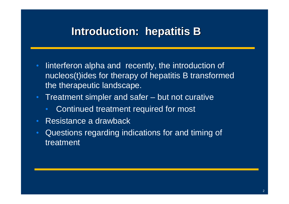# **Introduction: hepatitis B**

- Iinterferon alpha and recently, the introduction of nucleos(t)ides for therapy of hepatitis B transformed the therapeutic landscape.
- Treatment simpler and safer but not curative
	- •Continued treatment required for most
- Resistance a drawback
- Questions regarding indications for and timing of treatment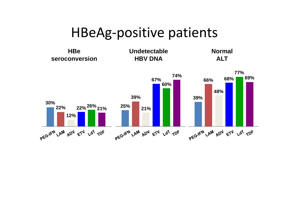# HBeAg‐positive patients

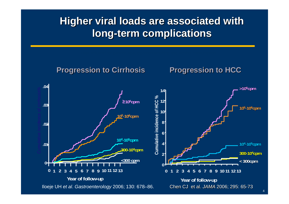#### **Higher viral loads are associated with long-term complications**

 $\mathcal{L}^{\text{max}}$  and hazards models. Risk is relative to  $\mathcal{L}^{\text{max}}$  at the following at  $\mathcal{L}^{\text{max}}$ 

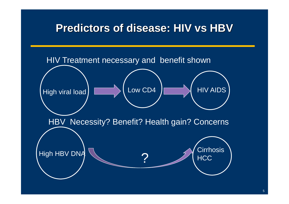#### **Predictors of disease: HIV vs HBV**

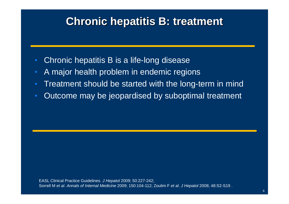#### **Chronic hepatitis B: treatment**

- Chronic hepatitis B is a life-long disease
- •A major health problem in endemic regions
- •Treatment should be started with the long-term in mind
- •Outcome may be jeopardised by suboptimal treatment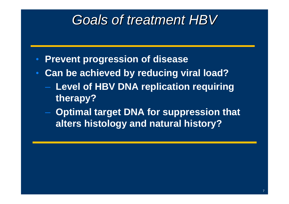# *Goals of treatment HBV*

- **Prevent progression of disease**
- **Can be achieved by reducing viral load?** 
	- **Level of HBV DNA replication requiring therapy?**
	- **Optimal target DNA for suppression that alters histology and natural history?**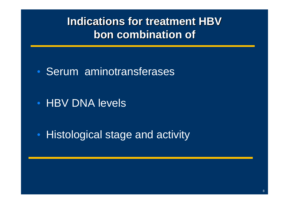## **Indications for treatment HBVbon combination of**

• Serum aminotransferases

• HBV DNA levels

 $\bullet$ • Histological stage and activity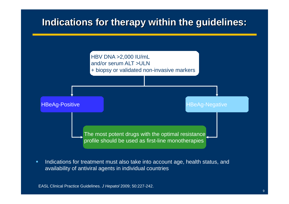#### **Indications for therapy within the guidelines:**



п Indications for treatment must also take into account age, health status, and availability of antiviral agents in individual countries

EASL Clinical Practice Guidelines. *J Hepatol* 2009; 50:227-242.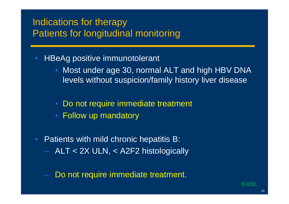#### Indications for therapy Patients for longitudinal monitoring

- HBeAg positive immunotolerant
	- • Most under age 30, normal ALT and high HBV DNA levels without suspicion/family history liver disease
	- Do not require immediate treatment
	- Follow up mandatory
- Patients with mild chronic hepatitis B: ALT < 2X ULN, < A2F2 histologically
	- Do not require immediate treatment.

EASI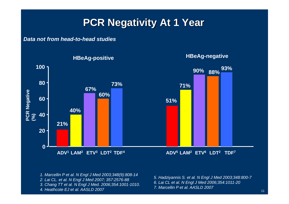#### **PCR Negativity At 1 Year**

#### *Data not from head-to-head studies*



- *1. Marcellin P et al. N Engl J Med 2003;348(9):808-14*
- *2. Lai CL. et al. N Engl J Med 2007; 357:2576-88*
- *3. Chang TT et al. N Engl J Med. 2006;354:1001-1010.*
- *4. Heathcote EJ et al. AASLD 2007*
- *5. Hadziyannis S. et al. N Engl J Med 2003;348:800-7 6. Lai CL et al. N Engl J Med 2006;354:1011-20*
- 
- *7. Marcellin P et al. AASLD 2007*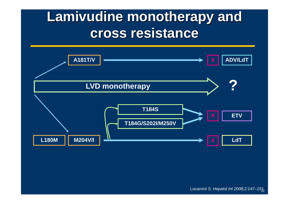# **Lamivudine monotherapy and cross resistance**

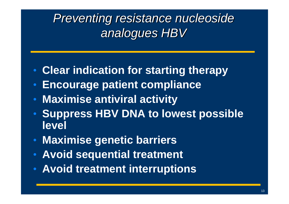# *Preventing resistance nucleoside analogues HBV*

- $\bullet$ **Clear indication for starting therapy**
- **Encourage patient compliance**
- **Maximise antiviral activity**
- $\bullet$  **Suppress HBV DNA to lowest possible level**
- **Maximise genetic barriers**
- **Avoid sequential treatment**
- **Avoid treatment interruptions**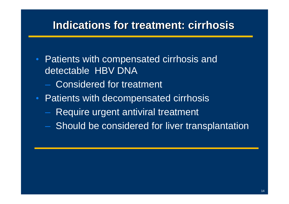#### **Indications for treatment: cirrhosis**

- Patients with compensated cirrhosis and detectable HBV DNA
	- Considered for treatment
- Patients with decompensated cirrhosis
	- $-$  Require urgent antiviral treatment
	- Should be considered for liver transplantation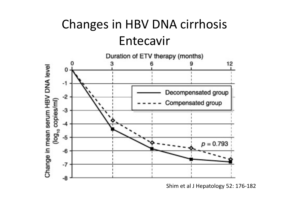# Changes in HBV DNA cirrhosis Entecavir



Shim et al J Hepatology 52: 176‐182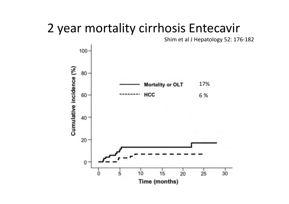# 2 year mortality cirrhosis Entecavir

Shim et al J Hepatology 52: 176‐182

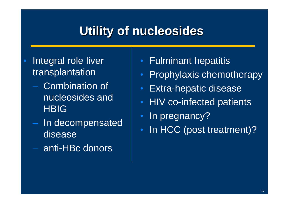# **Utility of nucleosides**

- $\bullet$  Integral role liver transplantation
	- Combination of nucleosides and **HBIG**
	- In decompensated disease
	- anti-HBc donors
- Fulminant hepatitis
- Prophylaxis chemotherapy
- Extra-hepatic disease
- HIV co-infected patients
- $\bullet$ In pregnancy?
- In HCC (post treatment)?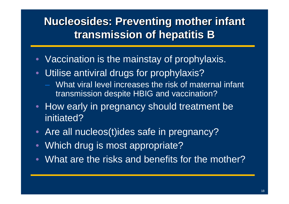## **Nucleosides: Preventing mother infant transmission of hepatitis B**

- Vaccination is the mainstay of prophylaxis.
- $\bullet$  Utilise antiviral drugs for prophylaxis?
	- What viral level increases the risk of maternal infant transmission despite HBIG and vaccination?
- How early in pregnancy should treatment be initiated?
- Are all nucleos(t)ides safe in pregnancy?
- $\bullet$ Which drug is most appropriate?
- $\bullet$ What are the risks and benefits for the mother?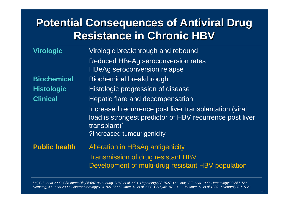# **Potential Consequences of Antiviral Drug Resistance in Chronic HBV**

| <b>Virologic</b>     | Virologic breakthrough and rebound                                                                                                                               |  |  |  |
|----------------------|------------------------------------------------------------------------------------------------------------------------------------------------------------------|--|--|--|
|                      | <b>Reduced HBeAg seroconversion rates</b>                                                                                                                        |  |  |  |
|                      | <b>HBeAg seroconversion relapse</b>                                                                                                                              |  |  |  |
| <b>Biochemical</b>   | <b>Biochemical breakthrough</b>                                                                                                                                  |  |  |  |
| <b>Histologic</b>    | <b>Histologic progression of disease</b>                                                                                                                         |  |  |  |
| <b>Clinical</b>      | Hepatic flare and decompensation                                                                                                                                 |  |  |  |
|                      | Increased recurrence post liver transplantation (viral<br>load is strongest predictor of HBV recurrence post liver<br>transplant)*<br>?Increased tumourigenicity |  |  |  |
| <b>Public health</b> | <b>Alteration in HBsAg antigenicity</b><br><b>Transmission of drug resistant HBV</b><br>Development of multi-drug resistant HBV population                       |  |  |  |

*Lai, C.L. et al 2003. Clin Infect Dis;36:687-96.; Leung, N.W. et al 2001. Hepatology;33:1527-32.; Liaw, Y.F. et al 1999. Hepatology;30:567-72.; Dienstag, J.L. et al 2003. Gastroenterology;124:105-17.; Mutimer, D. et al 2000. GUT;46:107-13. \*Mutimer, D. et al 1999. J Hepatol;30:715-21.*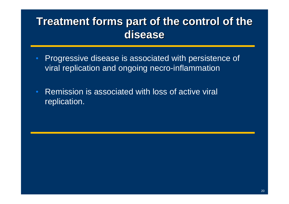## **Treatment forms part of the control of the disease**

- Progressive disease is associated with persistence of viral replication and ongoing necro-inflammation
- Remission is associated with loss of active viral replication.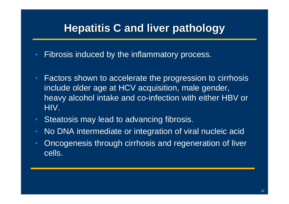# **Hepatitis C and liver pathology**

- Fibrosis induced by the inflammatory process.
- Factors shown to accelerate the progression to cirrhosis include older age at HCV acquisition, male gender, heavy alcohol intake and co-infection with either HBV or HIV.
- Steatosis may lead to advancing fibrosis.
- No DNA intermediate or integration of viral nucleic acid
- Oncogenesis through cirrhosis and regeneration of liver cells.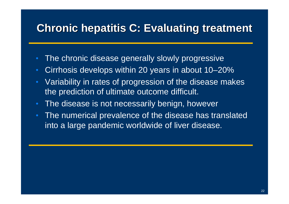## **Chronic hepatitis C: Evaluating treatment**

- The chronic disease generally slowly progressive
- Cirrhosis develops within 20 years in about 10–20%
- Variability in rates of progression of the disease makes the prediction of ultimate outcome difficult.
- The disease is not necessarily benign, however
- The numerical prevalence of the disease has translated into a large pandemic worldwide of liver disease.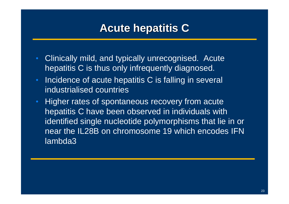## **Acute hepatitis C**

- Clinically mild, and typically unrecognised. Acute hepatitis C is thus only infrequently diagnosed.
- Incidence of acute hepatitis C is falling in several industrialised countries
- Higher rates of spontaneous recovery from acute hepatitis C have been observed in individuals with identified single nucleotide polymorphisms that lie in or near the IL28B on chromosome 19 which encodes IFN lambda3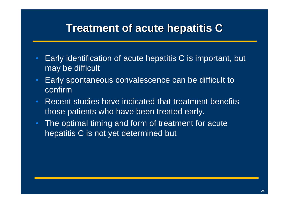### **Treatment of acute hepatitis C**

- Early identification of acute hepatitis C is important, but may be difficult
- Early spontaneous convalescence can be difficult to confirm
- Recent studies have indicated that treatment benefits those patients who have been treated early.
- The optimal timing and form of treatment for acute hepatitis C is not yet determined but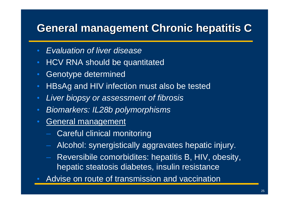# **General management Chronic hepatitis C**

- $\bullet$ *Evaluation of liver disease*
- HCV RNA should be quantitated
- •Genotype determined
- •HBsAg and HIV infection must also be tested
- •*Liver biopsy or assessment of fibrosis*
- *Biomarkers: IL28b polymorphisms*
- $\bullet$  General management
	- Careful clinical monitoring
	- Alcohol: synergistically aggravates hepatic injury.
	- Reversibile comorbidites: hepatitis B, HIV, obesity, hepatic steatosis diabetes, insulin resistance
- •Advise on route of transmission and vaccination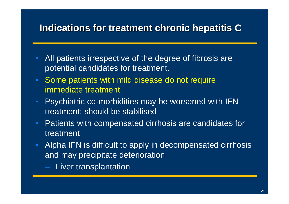#### **Indications for treatment chronic hepatitis C**

- All patients irrespective of the degree of fibrosis are potential candidates for treatment.
- Some patients with mild disease do not require immediate treatment
- Psychiatric co-morbidities may be worsened with IFN treatment: should be stabilised
- Patients with compensated cirrhosis are candidates for treatment
- Alpha IFN is difficult to apply in decompensated cirrhosis and may precipitate deterioration
	- Liver transplantation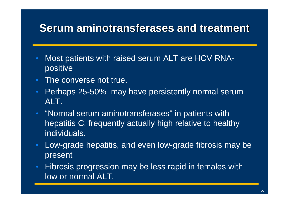# **Serum aminotransferases and treatment**

- Most patients with raised serum ALT are HCV RNApositive
- The converse not true.
- Perhaps 25-50% may have persistently normal serum ALT.
- "Normal serum aminotransferases" in patients with hepatitis C, frequently actually high relative to healthy individuals.
- Low-grade hepatitis, and even low-grade fibrosis may be present
- Fibrosis progression may be less rapid in females with low or normal ALT.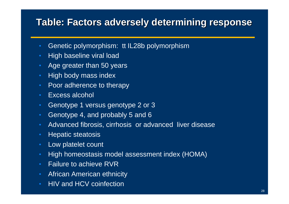#### **Table: Factors adversely determining response**

- Genetic polymorphism: tt IL28b polymorphism
- High baseline viral load
- Age greater than 50 years
- High body mass index
- Poor adherence to therapy
- Excess alcohol
- Genotype 1 versus genotype 2 or 3
- Genotype 4, and probably 5 and 6
- Advanced fibrosis, cirrhosis or advanced liver disease
- Hepatic steatosis
- Low platelet count
- High homeostasis model assessment index (HOMA)
- Failure to achieve RVR
- African American ethnicity
- HIV and HCV coinfection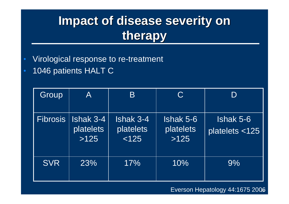# **Impact of disease severity on therapy**

- $\bullet$ Virological response to re-treatment
- $\bullet$ 1046 patients HALT C

| Group           | $\mathsf{A}$                          | B                               | $\mathbf C$                    |                             |
|-----------------|---------------------------------------|---------------------------------|--------------------------------|-----------------------------|
| <b>Fibrosis</b> | <b>Ishak 3-4</b><br>platelets<br>>125 | Ishak 3-4<br>platelets<br>< 125 | Ishak 5-6<br>platelets<br>>125 | Ishak 5-6<br>platelets <125 |
| <b>SVR</b>      | 23%                                   | 17%                             | 10%                            | 9%                          |

#### Everson Hepatology 44:1675 2006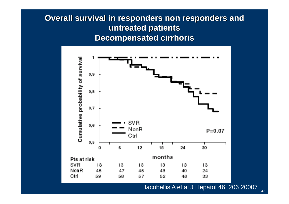#### **Overall survival in responders non responders and untreated patients Decompensated cirrhoris**



#### Iacobellis A et al J Hepatol 46: 206 20007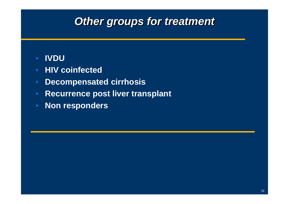#### *Other groups for treatment*

#### **IVDU**

- **HIV coinfected**
- **Decompensated cirrhosis**
- **Recurrence post liver transplant**
- **Non responders**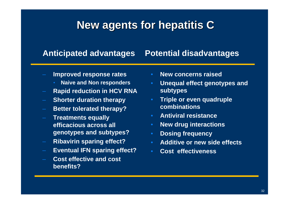## **New agents for hepatitis C**

#### **Anticipated advantages Potential disadvantages**

- **Improved response rates**
	- **Naive and Non responders**
- **Rapid reduction in HCV RNA**
- **Shorter duration therapy**
- **Better tolerated therapy?**
- **Treatments equally efficacious across all genotypes and subtypes?**
- **Ribavirin sparing effect?**
- **Eventual IFN sparing effect?**
- **Cost effective and cost benefits?**
- •**New concerns raised**
- **Unequal effect genotypes and subtypes**
- **Triple or even quadruple combinations**
- **Antiviral resistance**
- •**New drug interactions**
- **Dosing frequency**
- •**Additive or new side effects**
- •**Cost effectiveness**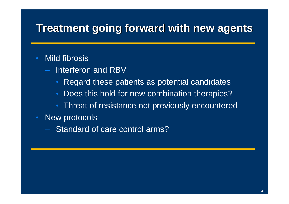## **Treatment going forward with new agents**

#### Mild fibrosis

- Interferon and RBV
	- Regard these patients as potential candidates
	- Does this hold for new combination therapies?
	- Threat of resistance not previously encountered
- New protocols
	- Standard of care control arms?